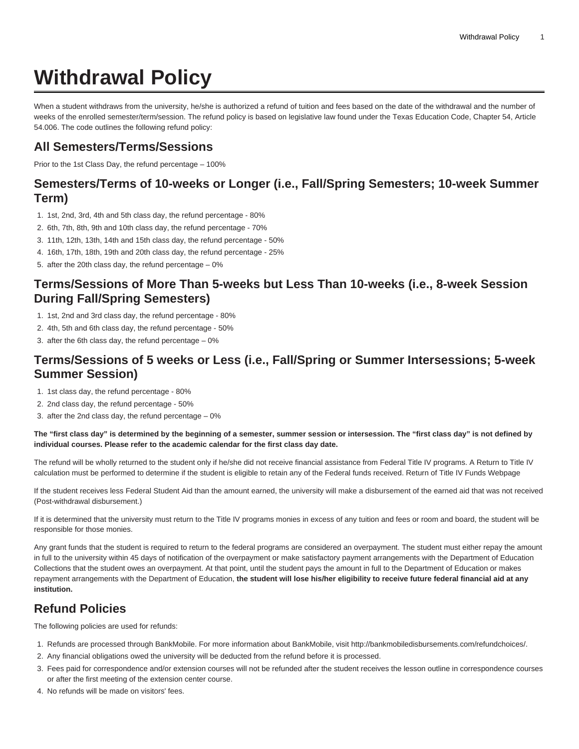# **Withdrawal Policy**

When a student withdraws from the university, he/she is authorized a refund of tuition and fees based on the date of the withdrawal and the number of weeks of the enrolled semester/term/session. The refund policy is based on legislative law found under the Texas Education Code, Chapter 54, Article 54.006. The code outlines the following refund policy:

## **All Semesters/Terms/Sessions**

Prior to the 1st Class Day, the refund percentage – 100%

#### **Semesters/Terms of 10-weeks or Longer (i.e., Fall/Spring Semesters; 10-week Summer Term)**

- 1. 1st, 2nd, 3rd, 4th and 5th class day, the refund percentage 80%
- 2. 6th, 7th, 8th, 9th and 10th class day, the refund percentage 70%
- 3. 11th, 12th, 13th, 14th and 15th class day, the refund percentage 50%
- 4. 16th, 17th, 18th, 19th and 20th class day, the refund percentage 25%
- 5. after the 20th class day, the refund percentage 0%

#### **Terms/Sessions of More Than 5-weeks but Less Than 10-weeks (i.e., 8-week Session During Fall/Spring Semesters)**

- 1. 1st, 2nd and 3rd class day, the refund percentage 80%
- 2. 4th, 5th and 6th class day, the refund percentage 50%
- 3. after the 6th class day, the refund percentage 0%

#### **Terms/Sessions of 5 weeks or Less (i.e., Fall/Spring or Summer Intersessions; 5-week Summer Session)**

- 1. 1st class day, the refund percentage 80%
- 2. 2nd class day, the refund percentage 50%
- 3. after the 2nd class day, the refund percentage 0%

#### **The "first class day" is determined by the beginning of a semester, summer session or intersession. The "first class day" is not defined by individual courses. Please refer to the academic calendar for the first class day date.**

The refund will be wholly returned to the student only if he/she did not receive financial assistance from Federal Title IV programs. A Return to Title IV calculation must be performed to determine if the student is eligible to retain any of the Federal funds received. [Return of Title IV Funds Webpage](https://www.tamuk.edu/enrollment-management/finaid/policies-and-procedures/return-title-iv.html)

If the student receives less Federal Student Aid than the amount earned, the university will make a disbursement of the earned aid that was not received (Post-withdrawal disbursement.)

If it is determined that the university must return to the Title IV programs monies in excess of any tuition and fees or room and board, the student will be responsible for those monies.

Any grant funds that the student is required to return to the federal programs are considered an overpayment. The student must either repay the amount in full to the university within 45 days of notification of the overpayment or make satisfactory payment arrangements with the Department of Education Collections that the student owes an overpayment. At that point, until the student pays the amount in full to the Department of Education or makes repayment arrangements with the Department of Education, **the student will lose his/her eligibility to receive future federal financial aid at any institution.**

## **Refund Policies**

The following policies are used for refunds:

- 1. Refunds are processed through BankMobile. For more information about BankMobile, visit [http://bankmobiledisbursements.com/refundchoices/.](http://bankmobiledisbursements.com/refundchoices/)
- 2. Any financial obligations owed the university will be deducted from the refund before it is processed.
- 3. Fees paid for correspondence and/or extension courses will not be refunded after the student receives the lesson outline in correspondence courses or after the first meeting of the extension center course.
- 4. No refunds will be made on visitors' fees.